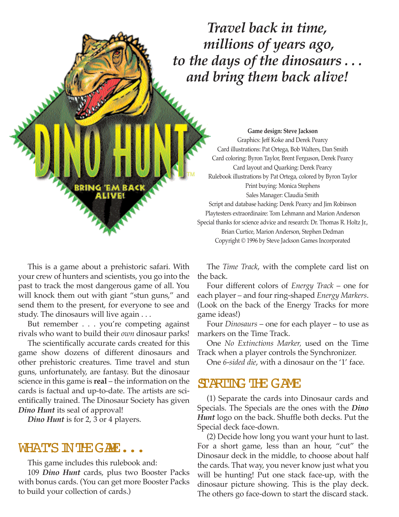*Travel back in time, millions of years ago, to the days of the dinosaurs . . . and bring them back alive!*

**Game design: Steve Jackson** Graphics: Jeff Koke and Derek Pearcy Card illustrations: Pat Ortega, Bob Walters, Dan Smith Card coloring: Byron Taylor, Brent Ferguson, Derek Pearcy Card layout and Quarking: Derek Pearcy Rulebook illustrations by Pat Ortega, colored by Byron Taylor Print buying: Monica Stephens Sales Manager: Claudia Smith Script and database hacking: Derek Pearcy and Jim Robinson Playtesters extraordinaire: Tom Lehmann and Marion Anderson Special thanks for science advice and research: Dr. Thomas R. Holtz Jr., Brian Curtice, Marion Anderson, Stephen Dedman Copyright © 1996 by Steve Jackson Games Incorporated

This is a game about a prehistoric safari. With your crew of hunters and scientists, you go into the past to track the most dangerous game of all. You will knock them out with giant "stun guns," and send them to the present, for everyone to see and study. The dinosaurs will live again . . .

RRING

But remember . . . you're competing against rivals who want to build their *own* dinosaur parks!

The scientifically accurate cards created for this game show dozens of different dinosaurs and other prehistoric creatures. Time travel and stun guns, unfortunately, are fantasy. But the dinosaur science in this game is **real** – the information on the cards is factual and up-to-date. The artists are scientifically trained. The Dinosaur Society has given *Dino Hunt* its seal of approval!

*Dino Hunt* is for 2, 3 or 4 players.

## WHAT'S IN THE GAME...

This game includes this rulebook and:

109 *Dino Hunt* cards, plus two Booster Packs with bonus cards. (You can get more Booster Packs to build your collection of cards.)

The *Time Track*, with the complete card list on the back.

Four different colors of *Energy Track* – one for each player – and four ring-shaped *Energy Markers*. (Look on the back of the Energy Tracks for more game ideas!)

Four *Dinosaurs* – one for each player – to use as markers on the Time Track.

One *No Extinctions Marker,* used on the Time Track when a player controls the Synchronizer.

One *6-sided die*, with a dinosaur on the '1' face.

## STARTING THE GAME

(1) Separate the cards into Dinosaur cards and Specials. The Specials are the ones with the *Dino Hunt* logo on the back. Shuffle both decks. Put the Special deck face-down.

(2) Decide how long you want your hunt to last. For a short game, less than an hour, "cut" the Dinosaur deck in the middle, to choose about half the cards. That way, you never know just what you will be hunting! Put one stack face-up, with the dinosaur picture showing. This is the play deck. The others go face-down to start the discard stack.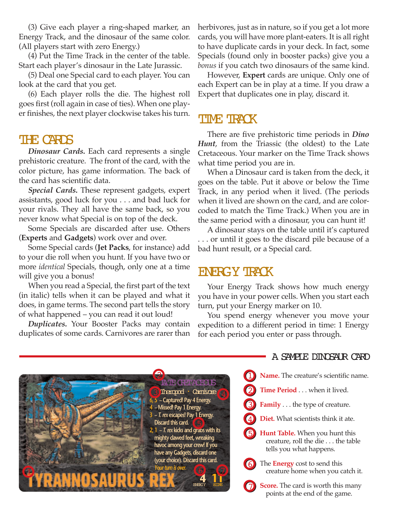(3) Give each player a ring-shaped marker, an Energy Track, and the dinosaur of the same color. (All players start with zero Energy.)

(4) Put the Time Track in the center of the table. Start each player's dinosaur in the Late Jurassic.

(5) Deal one Special card to each player. You can look at the card that you get.

(6) Each player rolls the die. The highest roll goes first (roll again in case of ties). When one player finishes, the next player clockwise takes his turn.

### THE CARDS

*Dinosaur Cards.* Each card represents a single prehistoric creature. The front of the card, with the color picture, has game information. The back of the card has scientific data.

*Special Cards.* These represent gadgets, expert assistants, good luck for you . . . and bad luck for your rivals. They all have the same back, so you never know what Special is on top of the deck.

Some Specials are discarded after use. Others (**Experts** and **Gadgets**) work over and over.

Some Special cards (**Jet Packs**, for instance) add to your die roll when you hunt. If you have two or more *identical* Specials, though, only one at a time will give you a bonus!

When you read a Special, the first part of the text (in italic) tells when it can be played and what it does, in game terms. The second part tells the story of what happened – you can read it out loud!

*Duplicates.* Your Booster Packs may contain duplicates of some cards. Carnivores are rarer than herbivores, just as in nature, so if you get a lot more cards, you will have more plant-eaters. It is all right to have duplicate cards in your deck. In fact, some Specials (found only in booster packs) give you a *bonus* if you catch two dinosaurs of the same kind.

However, **Expert** cards are unique. Only one of each Expert can be in play at a time. If you draw a Expert that duplicates one in play, discard it.

### **TIME TRACK**

There are five prehistoric time periods in *Dino Hunt*, from the Triassic (the oldest) to the Late Cretaceous. Your marker on the Time Track shows what time period you are in.

When a Dinosaur card is taken from the deck, it goes on the table. Put it above or below the Time Track, in any period when it lived. (The periods when it lived are shown on the card, and are colorcoded to match the Time Track.) When you are in the same period with a dinosaur, you can hunt it!

A dinosaur stays on the table until it's captured . . . or until it goes to the discard pile because of a bad hunt result, or a Special card.

## **ENERGY TRACK**

Your Energy Track shows how much energy you have in your power cells. When you start each turn, put your Energy marker on 10.

You spend energy whenever you move your expedition to a different period in time: 1 Energy for each period you enter or pass through.



#### A SAMPLE DINOSAUR CARD

- **Name.** The creature's scientific name.
- **Time Period** . . . when it lived.
- **Family** . . . the type of creature.
- **Diet.** What scientists think it ate.
- **Hunt Table.** When you hunt this creature, roll the die . . . the table tells you what happens.
- 6 The **Energy** cost to send this creature home when you catch it.

**Score.** The card is worth this many points at the end of the game.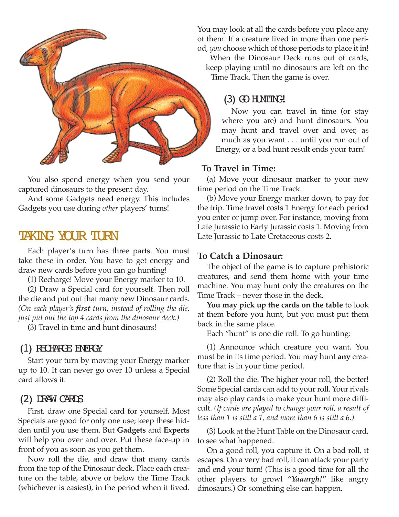

You also spend energy when you send your captured dinosaurs to the present day.

And some Gadgets need energy. This includes Gadgets you use during *other* players' turns!

## TAKING YOUR TURN

Each player's turn has three parts. You must take these in order. You have to get energy and draw new cards before you can go hunting!

(1) Recharge! Move your Energy marker to 10.

(2) Draw a Special card for yourself. Then roll the die and put out that many new Dinosaur cards. *(On each player's first turn, instead of rolling the die, just put out the top 4 cards from the dinosaur deck.)*

(3) Travel in time and hunt dinosaurs!

#### (1) RECHARGE ENERGY

Start your turn by moving your Energy marker up to 10. It can never go over 10 unless a Special card allows it.

### (2) DRAW CARDS

First, draw one Special card for yourself. Most Specials are good for only one use; keep these hidden until you use them. But **Gadgets** and **Experts** will help you over and over. Put these face-up in front of you as soon as you get them.

Now roll the die, and draw that many cards from the top of the Dinosaur deck. Place each creature on the table, above or below the Time Track (whichever is easiest), in the period when it lived.

You may look at all the cards before you place any of them. If a creature lived in more than one period, *you* choose which of those periods to place it in!

When the Dinosaur Deck runs out of cards, keep playing until no dinosaurs are left on the Time Track. Then the game is over.

### $(3)$  GO HNTING!

Now you can travel in time (or stay where you are) and hunt dinosaurs. You may hunt and travel over and over, as much as you want . . . until you run out of Energy, or a bad hunt result ends your turn!

#### **To Travel in Time:**

(a) Move your dinosaur marker to your new time period on the Time Track.

(b) Move your Energy marker down, to pay for the trip. Time travel costs 1 Energy for each period you enter or jump over. For instance, moving from Late Jurassic to Early Jurassic costs 1. Moving from Late Jurassic to Late Cretaceous costs 2.

#### **To Catch a Dinosaur:**

The object of the game is to capture prehistoric creatures, and send them home with your time machine. You may hunt only the creatures on the Time Track – never those in the deck.

**You may pick up the cards on the table** to look at them before you hunt, but you must put them back in the same place.

Each "hunt" is one die roll. To go hunting:

(1) Announce which creature you want. You must be in its time period. You may hunt **any** creature that is in your time period.

(2) Roll the die. The higher your roll, the better! Some Special cards can add to your roll. Your rivals may also play cards to make your hunt more difficult. *(If cards are played to change your roll, a result of less than 1 is still a 1, and more than 6 is still a 6.)*

(3) Look at the Hunt Table on the Dinosaur card, to see what happened.

On a good roll, you capture it. On a bad roll, it escapes. On a very bad roll, it can attack your party and end your turn! (This is a good time for all the other players to growl *"Yaaargh!"* like angry dinosaurs.) Or something else can happen.